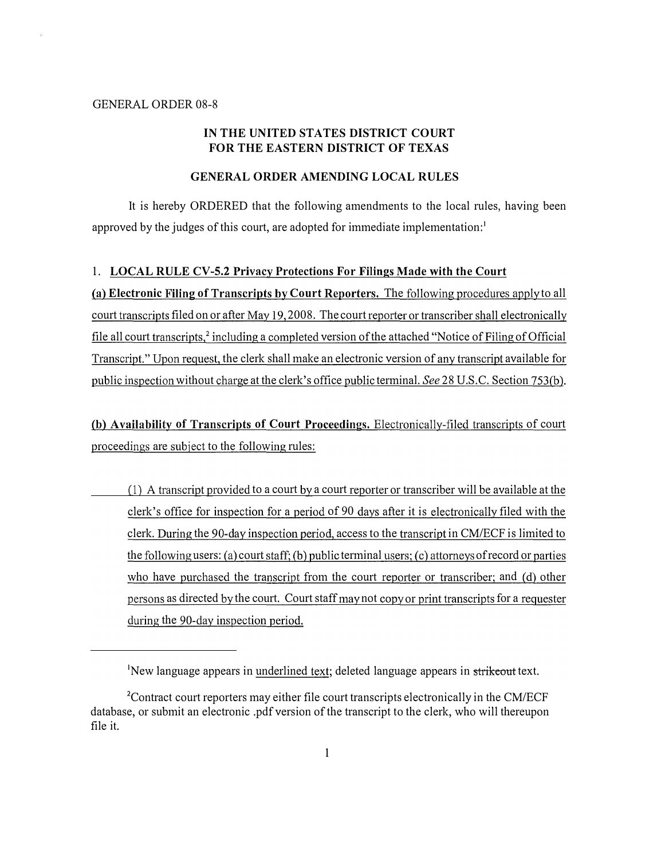## IN THE UNITED STATES DISTRICT COURT FOR THE EASTERN DISTRICT OF TEXAS

### GENERAL ORDER AMENDING LOCAL RULES

It is hereby ORDERED that the following amendments to the local rules, having been approved by the judges of this court, are adopted for immediate implementation:<sup>1</sup>

### 1. LOCAL RULE CV-5.2 Privacy Protections For Filings Made with the Court

(a) Electronic Filing of Transcripts by Court Reporters. The following procedures apply to all court transcripts filed on or after May 19, 2008. The court reporter or transcriber shall electronically file all court transcripts,<sup>2</sup> including a completed version of the attached "Notice of Filing of Official Transcript." Upon request, the clerk shall make an electronic version of any transcript available for public inspection without charge at the clerk's office public terminal. See 28 U.S.C. Section 753(b).

(b) Availability of Transcripts of Court Proceedings. Electronically-filed transcripts of court proceedings are subject to the following rules:

(1) A transcript provided to a court by a court reporter or transcriber will be available at the clerk's office for inspection for a period of 90 days after it is electronically filed with the clerk. During the 90-day inspection period, access to the transcript in CM/ECF is limited to the following users: (a) court staff; (b) public terminal users; (c) attorneys of record or parties who have purchased the transcript from the court reporter or transcriber; and (d) other persons as directed by the court. Court staff may not copy or print transcripts for a requester during the 90-day inspection period.

<sup>&</sup>lt;sup>1</sup>New language appears in underlined text; deleted language appears in strikeout text.

<sup>&</sup>lt;sup>2</sup>Contract court reporters may either file court transcripts electronically in the CM/ECF database, or submit an electronic .pdf version of the transcript to the clerk, who will thereupon file it.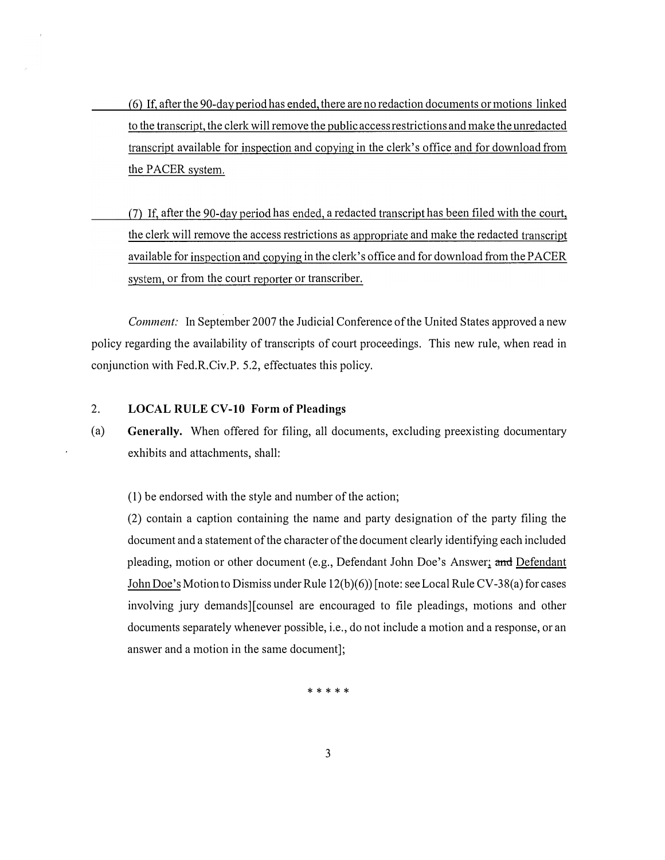- ( 6) If, after the 90-day period has ended, there are no redaction documents or motions linked to the transcript, the clerk will remove the public access restrictions and make the unredacted transcript available for inspection and copying in the clerk's office and for download from the PACER system.
- (7) If, after the 90-day period has ended, a redacted transcript has been filed with the court, the clerk will remove the access restrictions as appropriate and make the redacted transcript available for inspection and copying in the clerk's office and for download from the PACER system, or from the court reporter or transcriber.

Comment: In September 2007 the Judicial Conference of the United States approved a new policy regarding the availability of transcripts of court proceedings. This new rule, when read in conjunction with Fed.R.Civ.P. 5.2, effectuates this policy.

# 2. LOCAL RULE CV-10 Form of Pleadings

(a) Generally. When offered for filing, all documents, excluding preexisting documentary exhibits and attachments, shall:

(1) be endorsed with the style and number of the action;

(2) contain a caption containing the name and party designation of the party filing the document and a statement of the character of the document clearly identifying each included pleading, motion or other document (e.g., Defendant John Doe's Answer; and Defendant John Doe's Motion to Dismiss under Rule 12(b)(6)) [note: see Local Rule CV-38(a) for cases involving jury demands] [counsel are encouraged to file pleadings, motions and other documents separately whenever possible, i.e., do not include a motion and a response, or an answer and a motion in the same document];

\* \* \* \* \*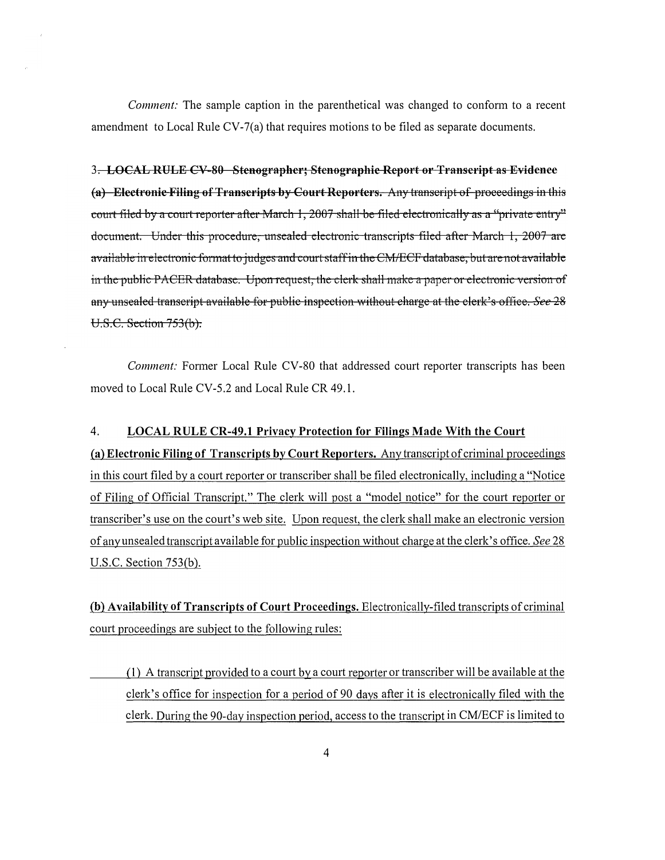Comment: The sample caption in the parenthetical was changed to confonn to a recent amendment to Local Rule CV-7(a) that requires motions to be filed as separate documents.

## 3. LOCAL RULE CV 80 Stenographer; Stenographic Report or Transcript as Evidence

(a) Electronic Filing of Transcripts by Court Reporters. Any transeript of proeeedings in this court filed by a court reporter after March 1, 2007 shall be filed electronically as a "private entry" document. Under this procedure, unsealed electronic transcripts filed after March 1, 2007 are available in electronic format to judges and court staff in the CM/ECF database, but are not available in the public PACER database. Upon request, the clerk shall make a paper or electronic version of any unsealed transcript available for public inspection without charge at the clerk's office. See 28 U.S.C. Section 753(b).

Comment: Former Local Rule CV-80 that addressed court reporter transcripts has been moved to Local Rule CV-5.2 and Local Rule CR 49.1.

### 4. LOCAL RULE CR-49.1 Privacy Protection for Filings Made With the Court

(a) Electronic Filing of Transcripts by Court Reporters. Any transcript of criminal proceedings in this court filed by a court reporter or transcriber shall be filed electronically, including a "Notice of Filing of Official Transcript." The clerk will post a "model notice" for the court reporter or transcriber's use on the court's web site. Upon request, the clerk shall make an electronic version of any unsealed transcript available for public inspection without charge at the clerk's office. See 28 U.S.C. Section 753(b).

(b) Availability of Transcripts of Court Proceedings. Electronically-filed transcripts of criminal court proceedings are subject to the following rules:

( 1) A transcript provided to a court by a court reporter or transcriber will be available at the clerk's office for inspection for a period of 90 days after it is electronically filed with the clerk. During the 90-day inspection period, access to the transcript in CM/ECF is limited to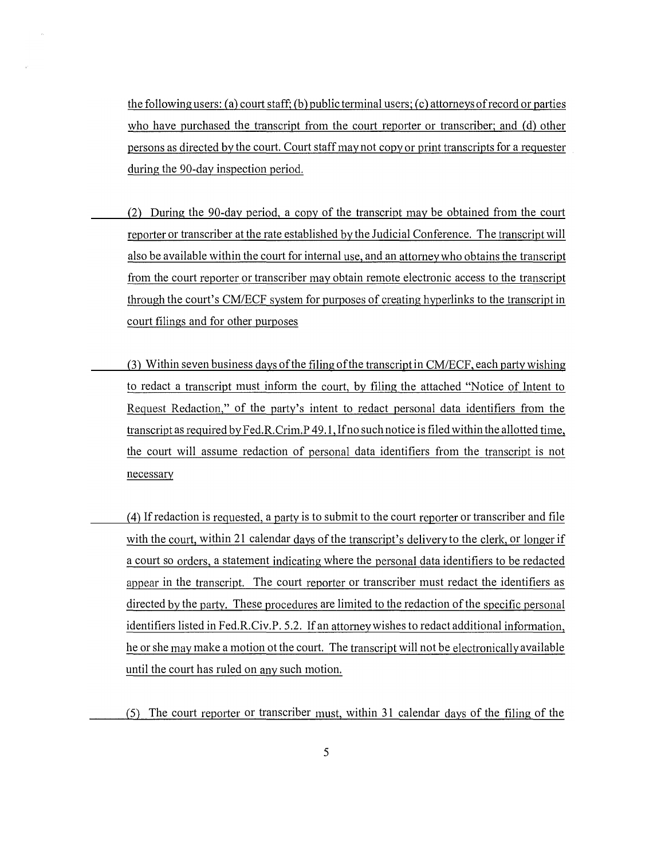the following users: (a) court staff; (b) public terminal users; (c) attorneys of record or parties who have purchased the transcript from the court reporter or transcriber; and (d) other persons as directed by the court. Court staff may not copy or print transcripts for a requester during the 90-day inspection period.

- (2) During the 90-day period, a copy of the transcript may be obtained from the court reporter or transcriber at the rate established by the Judicial Conference. The transcript will also be available within the court for internal use, and an attorney who obtains the transcript from the court reporter or transcriber may obtain remote electronic access to the transcript through the court's CM/ECF system for purposes of creating hyperlinks to the transcript in court filings and for other purposes
- (3) Within seven business days of the filing of the transcript in CM/ECF, each party wishing to redact a transcript must inform the court, by filing the attached "Notice of Intent to Request Redaction," of the party's intent to redact personal data identifiers from the transcript as required by Fed.R.Crim.P 49.1, If no such notice is filed within the allotted time, the court will assume redaction of personal data identifiers from the transcript is not necessary
- (4) If redaction is requested, a party is to submit to the court reporter or transcriber and file with the court, within 21 calendar days of the transcript's delivery to the clerk, or longer if a court so orders, a statement indicating where the personal data identifiers to be redacted appear in the transcript. The court reporter or transcriber must redact the identifiers as directed by the party. These procedures are limited to the redaction of the specific personal identifiers listed in Fed.R.Civ.P. 5.2. If an attorney wishes to redact additional information, he or she may make a motion ot the court. The transcript will not be electronically available until the court has ruled on any such motion.

(5) The court reporter or transcriber must, within 31 calendar days of the filing of the